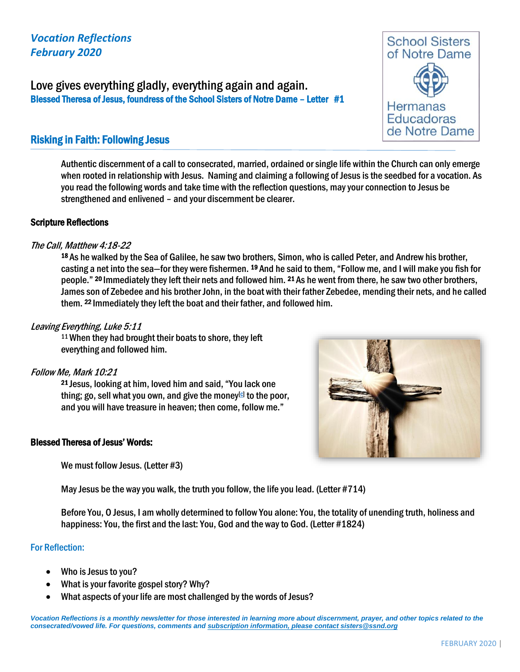## *Vocation Reflections February 2020*

Love gives everything gladly, everything again and again. Blessed Theresa of Jesus, foundress of the School Sisters of Notre Dame – Letter #1

# Risking in Faith: Following Jesus

Authentic discernment of a call to consecrated, married, ordained or single life within the Church can only emerge when rooted in relationship with Jesus. Naming and claiming a following of Jesus is the seedbed for a vocation. As you read the following words and take time with the reflection questions, may your connection to Jesus be strengthened and enlivened – and your discernment be clearer.

#### Scripture Reflections

#### The Call, Matthew 4:18-22

<sup>18</sup>As he walked by the Sea of Galilee, he saw two brothers, Simon, who is called Peter, and Andrew his brother, casting a net into the sea—for they were fishermen. <sup>19</sup>And he said to them, "Follow me, and I will make you fish for people." <sup>20</sup> Immediately they left their nets and followed him. <sup>21</sup> As he went from there, he saw two other brothers, James son of Zebedee and his brother John, in the boat with their father Zebedee, mending their nets, and he called them. <sup>22</sup> Immediately they left the boat and their father, and followed him.

### Leaving Everything, Luke 5:11

<sup>11</sup>When they had brought their boats to shore, they left everything and followed him.

#### Follow Me, Mark 10:21

21 Jesus, looking at him, loved him and said, "You lack one thing; go, sell what you own, and give the money<sup>[\[c\]](https://www.biblegateway.com/passage/?search=mark+10&version=NRSVCE#fen-NRSVCE-28876c)</sup> to the poor, and you will have treasure in heaven; then come, follow me."

#### Blessed Theresa of Jesus' Words:

We must follow Jesus. (Letter #3)

May Jesus be the way you walk, the truth you follow, the life you lead. (Letter #714)

Before You, O Jesus, I am wholly determined to follow You alone: You, the totality of unending truth, holiness and happiness: You, the first and the last: You, God and the way to God. (Letter #1824)

#### For Reflection:

- Who is Jesus to you?
- What is your favorite gospel story? Why?
- What aspects of your life are most challenged by the words of Jesus?

*Vocation Reflections is a monthly newsletter for those interested in learning more about discernment, prayer, and other topics related to the consecrated/vowed life. For questions, comments and subscription information, please contact sisters@ssnd.org*